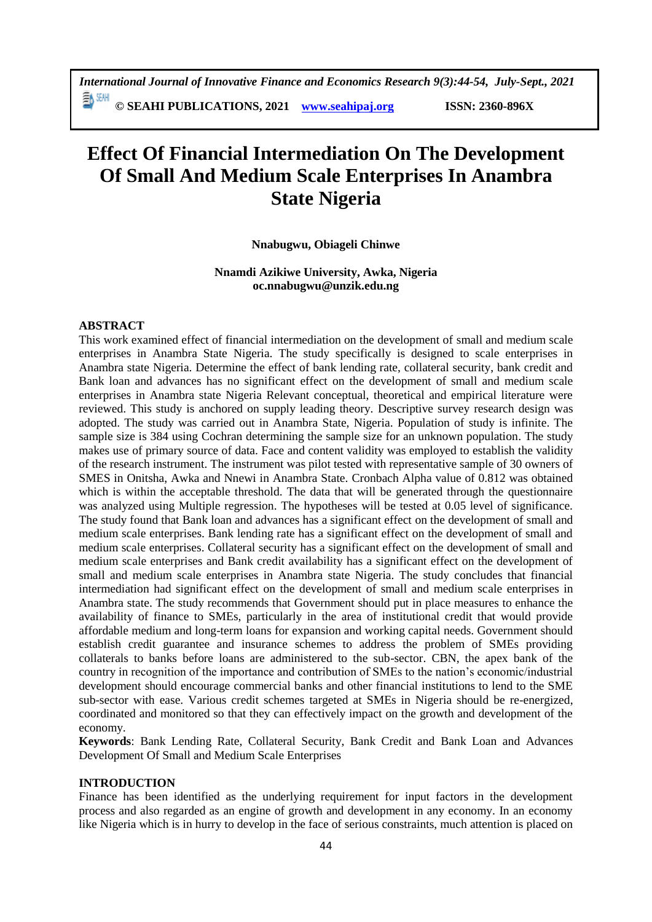# **Effect Of Financial Intermediation On The Development Of Small And Medium Scale Enterprises In Anambra State Nigeria**

#### **Nnabugwu, Obiageli Chinwe**

## **Nnamdi Azikiwe University, Awka, Nigeria oc.nnabugwu@unzik.edu.ng**

#### **ABSTRACT**

This work examined effect of financial intermediation on the development of small and medium scale enterprises in Anambra State Nigeria. The study specifically is designed to scale enterprises in Anambra state Nigeria. Determine the effect of bank lending rate, collateral security, bank credit and Bank loan and advances has no significant effect on the development of small and medium scale enterprises in Anambra state Nigeria Relevant conceptual, theoretical and empirical literature were reviewed. This study is anchored on supply leading theory. Descriptive survey research design was adopted. The study was carried out in Anambra State, Nigeria. Population of study is infinite. The sample size is 384 using Cochran determining the sample size for an unknown population. The study makes use of primary source of data. Face and content validity was employed to establish the validity of the research instrument. The instrument was pilot tested with representative sample of 30 owners of SMES in Onitsha, Awka and Nnewi in Anambra State. Cronbach Alpha value of 0.812 was obtained which is within the acceptable threshold. The data that will be generated through the questionnaire was analyzed using Multiple regression. The hypotheses will be tested at 0.05 level of significance. The study found that Bank loan and advances has a significant effect on the development of small and medium scale enterprises. Bank lending rate has a significant effect on the development of small and medium scale enterprises. Collateral security has a significant effect on the development of small and medium scale enterprises and Bank credit availability has a significant effect on the development of small and medium scale enterprises in Anambra state Nigeria. The study concludes that financial intermediation had significant effect on the development of small and medium scale enterprises in Anambra state. The study recommends that Government should put in place measures to enhance the availability of finance to SMEs, particularly in the area of institutional credit that would provide affordable medium and long-term loans for expansion and working capital needs. Government should establish credit guarantee and insurance schemes to address the problem of SMEs providing collaterals to banks before loans are administered to the sub-sector. CBN, the apex bank of the country in recognition of the importance and contribution of SMEs to the nation's economic/industrial development should encourage commercial banks and other financial institutions to lend to the SME sub-sector with ease. Various credit schemes targeted at SMEs in Nigeria should be re-energized, coordinated and monitored so that they can effectively impact on the growth and development of the economy.

**Keywords**: Bank Lending Rate, Collateral Security, Bank Credit and Bank Loan and Advances Development Of Small and Medium Scale Enterprises

## **INTRODUCTION**

Finance has been identified as the underlying requirement for input factors in the development process and also regarded as an engine of growth and development in any economy. In an economy like Nigeria which is in hurry to develop in the face of serious constraints, much attention is placed on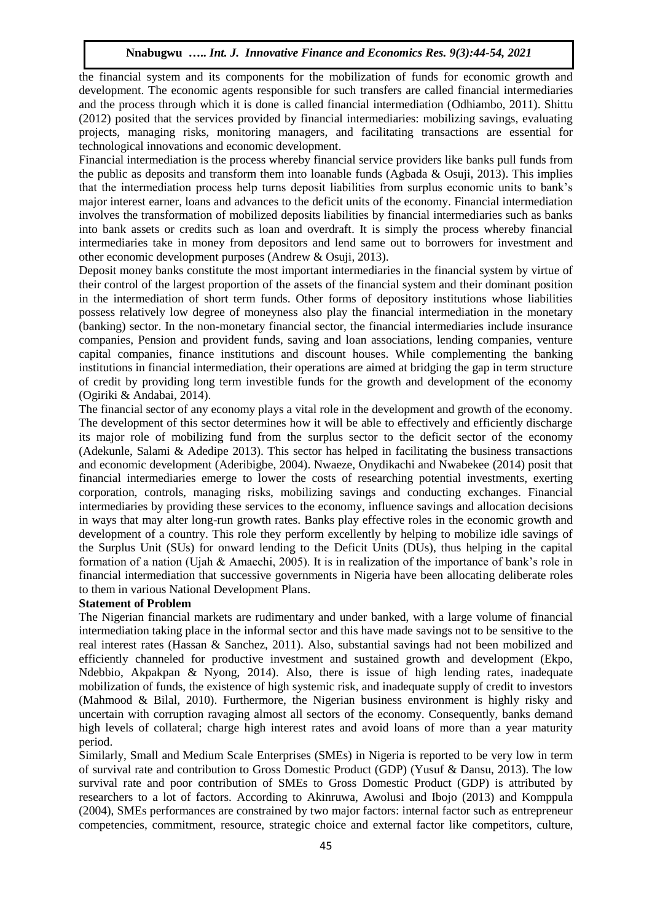the financial system and its components for the mobilization of funds for economic growth and development. The economic agents responsible for such transfers are called financial intermediaries and the process through which it is done is called financial intermediation (Odhiambo, 2011). Shittu (2012) posited that the services provided by financial intermediaries: mobilizing savings, evaluating projects, managing risks, monitoring managers, and facilitating transactions are essential for technological innovations and economic development.

Financial intermediation is the process whereby financial service providers like banks pull funds from the public as deposits and transform them into loanable funds (Agbada & Osuji, 2013). This implies that the intermediation process help turns deposit liabilities from surplus economic units to bank's major interest earner, loans and advances to the deficit units of the economy. Financial intermediation involves the transformation of mobilized deposits liabilities by financial intermediaries such as banks into bank assets or credits such as loan and overdraft. It is simply the process whereby financial intermediaries take in money from depositors and lend same out to borrowers for investment and other economic development purposes (Andrew & Osuji, 2013).

Deposit money banks constitute the most important intermediaries in the financial system by virtue of their control of the largest proportion of the assets of the financial system and their dominant position in the intermediation of short term funds. Other forms of depository institutions whose liabilities possess relatively low degree of moneyness also play the financial intermediation in the monetary (banking) sector. In the non-monetary financial sector, the financial intermediaries include insurance companies, Pension and provident funds, saving and loan associations, lending companies, venture capital companies, finance institutions and discount houses. While complementing the banking institutions in financial intermediation, their operations are aimed at bridging the gap in term structure of credit by providing long term investible funds for the growth and development of the economy (Ogiriki & Andabai, 2014).

The financial sector of any economy plays a vital role in the development and growth of the economy. The development of this sector determines how it will be able to effectively and efficiently discharge its major role of mobilizing fund from the surplus sector to the deficit sector of the economy (Adekunle, Salami & Adedipe 2013). This sector has helped in facilitating the business transactions and economic development (Aderibigbe, 2004). Nwaeze, Onydikachi and Nwabekee (2014) posit that financial intermediaries emerge to lower the costs of researching potential investments, exerting corporation, controls, managing risks, mobilizing savings and conducting exchanges. Financial intermediaries by providing these services to the economy, influence savings and allocation decisions in ways that may alter long-run growth rates. Banks play effective roles in the economic growth and development of a country. This role they perform excellently by helping to mobilize idle savings of the Surplus Unit (SUs) for onward lending to the Deficit Units (DUs), thus helping in the capital formation of a nation (Ujah & Amaechi, 2005). It is in realization of the importance of bank's role in financial intermediation that successive governments in Nigeria have been allocating deliberate roles to them in various National Development Plans.

#### **Statement of Problem**

The Nigerian financial markets are rudimentary and under banked, with a large volume of financial intermediation taking place in the informal sector and this have made savings not to be sensitive to the real interest rates (Hassan & Sanchez, 2011). Also, substantial savings had not been mobilized and efficiently channeled for productive investment and sustained growth and development (Ekpo, Ndebbio, Akpakpan & Nyong, 2014). Also, there is issue of high lending rates, inadequate mobilization of funds, the existence of high systemic risk, and inadequate supply of credit to investors (Mahmood & Bilal, 2010). Furthermore, the Nigerian business environment is highly risky and uncertain with corruption ravaging almost all sectors of the economy. Consequently, banks demand high levels of collateral; charge high interest rates and avoid loans of more than a year maturity period.

Similarly, Small and Medium Scale Enterprises (SMEs) in Nigeria is reported to be very low in term of survival rate and contribution to Gross Domestic Product (GDP) (Yusuf & Dansu, 2013). The low survival rate and poor contribution of SMEs to Gross Domestic Product (GDP) is attributed by researchers to a lot of factors. According to Akinruwa, Awolusi and Ibojo (2013) and Komppula (2004), SMEs performances are constrained by two major factors: internal factor such as entrepreneur competencies, commitment, resource, strategic choice and external factor like competitors, culture,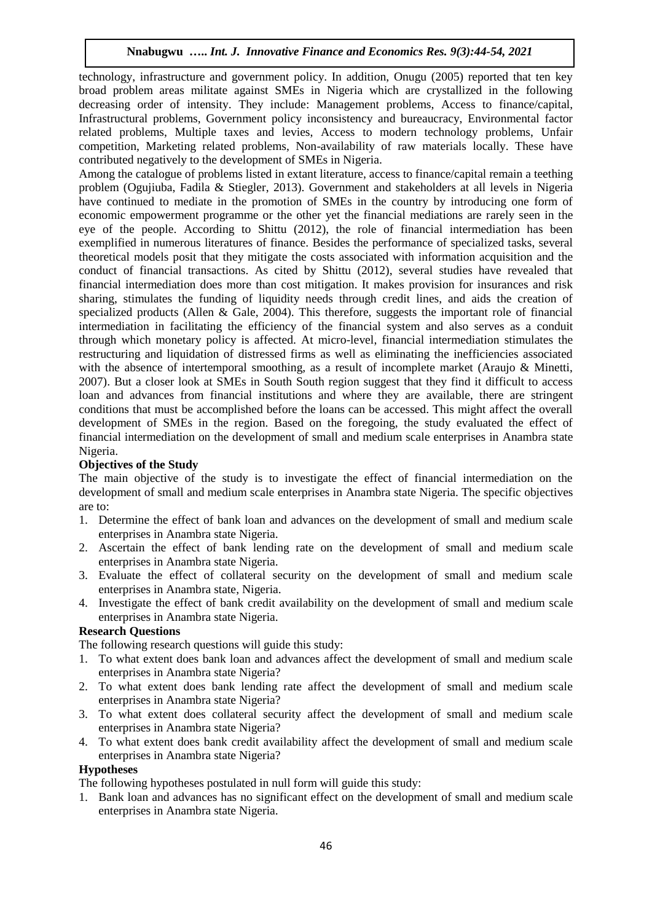technology, infrastructure and government policy. In addition, Onugu (2005) reported that ten key broad problem areas militate against SMEs in Nigeria which are crystallized in the following decreasing order of intensity. They include: Management problems, Access to finance/capital, Infrastructural problems, Government policy inconsistency and bureaucracy, Environmental factor related problems, Multiple taxes and levies, Access to modern technology problems, Unfair competition, Marketing related problems, Non-availability of raw materials locally. These have contributed negatively to the development of SMEs in Nigeria.

Among the catalogue of problems listed in extant literature, access to finance/capital remain a teething problem (Ogujiuba, Fadila & Stiegler, 2013). Government and stakeholders at all levels in Nigeria have continued to mediate in the promotion of SMEs in the country by introducing one form of economic empowerment programme or the other yet the financial mediations are rarely seen in the eye of the people. According to Shittu (2012), the role of financial intermediation has been exemplified in numerous literatures of finance. Besides the performance of specialized tasks, several theoretical models posit that they mitigate the costs associated with information acquisition and the conduct of financial transactions. As cited by Shittu (2012), several studies have revealed that financial intermediation does more than cost mitigation. It makes provision for insurances and risk sharing, stimulates the funding of liquidity needs through credit lines, and aids the creation of specialized products (Allen & Gale, 2004). This therefore, suggests the important role of financial intermediation in facilitating the efficiency of the financial system and also serves as a conduit through which monetary policy is affected. At micro-level, financial intermediation stimulates the restructuring and liquidation of distressed firms as well as eliminating the inefficiencies associated with the absence of intertemporal smoothing, as a result of incomplete market (Araujo & Minetti, 2007). But a closer look at SMEs in South South region suggest that they find it difficult to access loan and advances from financial institutions and where they are available, there are stringent conditions that must be accomplished before the loans can be accessed. This might affect the overall development of SMEs in the region. Based on the foregoing, the study evaluated the effect of financial intermediation on the development of small and medium scale enterprises in Anambra state Nigeria.

# **Objectives of the Study**

The main objective of the study is to investigate the effect of financial intermediation on the development of small and medium scale enterprises in Anambra state Nigeria. The specific objectives are to:

- 1. Determine the effect of bank loan and advances on the development of small and medium scale enterprises in Anambra state Nigeria.
- 2. Ascertain the effect of bank lending rate on the development of small and medium scale enterprises in Anambra state Nigeria.
- 3. Evaluate the effect of collateral security on the development of small and medium scale enterprises in Anambra state, Nigeria.
- 4. Investigate the effect of bank credit availability on the development of small and medium scale enterprises in Anambra state Nigeria.

# **Research Questions**

The following research questions will guide this study:

- 1. To what extent does bank loan and advances affect the development of small and medium scale enterprises in Anambra state Nigeria?
- 2. To what extent does bank lending rate affect the development of small and medium scale enterprises in Anambra state Nigeria?
- 3. To what extent does collateral security affect the development of small and medium scale enterprises in Anambra state Nigeria?
- 4. To what extent does bank credit availability affect the development of small and medium scale enterprises in Anambra state Nigeria?

## **Hypotheses**

The following hypotheses postulated in null form will guide this study:

1. Bank loan and advances has no significant effect on the development of small and medium scale enterprises in Anambra state Nigeria.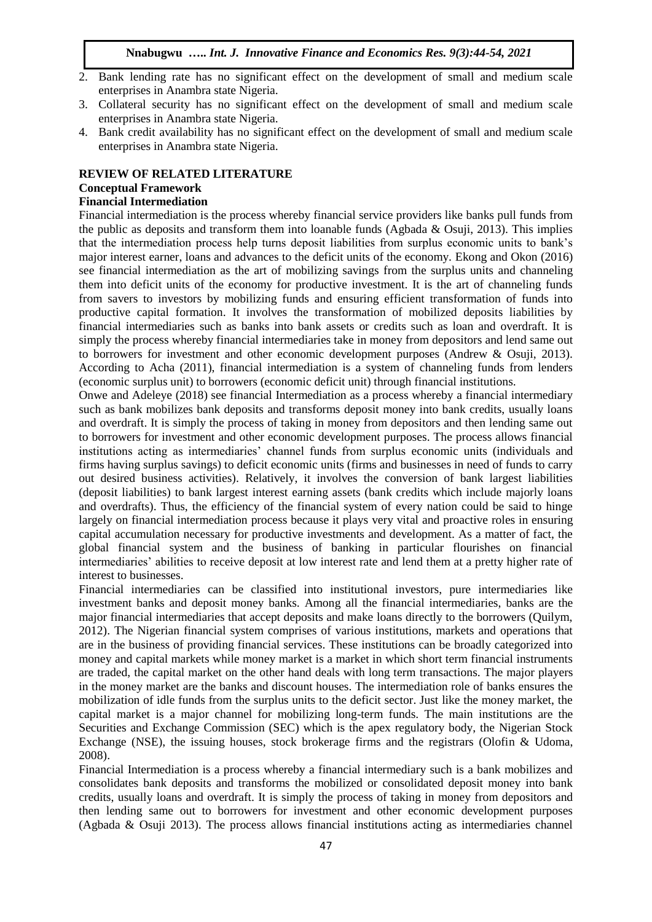- 2. Bank lending rate has no significant effect on the development of small and medium scale enterprises in Anambra state Nigeria.
- 3. Collateral security has no significant effect on the development of small and medium scale enterprises in Anambra state Nigeria.
- 4. Bank credit availability has no significant effect on the development of small and medium scale enterprises in Anambra state Nigeria.

## **REVIEW OF RELATED LITERATURE**

#### **Conceptual Framework**

#### **Financial Intermediation**

Financial intermediation is the process whereby financial service providers like banks pull funds from the public as deposits and transform them into loanable funds (Agbada & Osuji, 2013). This implies that the intermediation process help turns deposit liabilities from surplus economic units to bank's major interest earner, loans and advances to the deficit units of the economy. Ekong and Okon (2016) see financial intermediation as the art of mobilizing savings from the surplus units and channeling them into deficit units of the economy for productive investment. It is the art of channeling funds from savers to investors by mobilizing funds and ensuring efficient transformation of funds into productive capital formation. It involves the transformation of mobilized deposits liabilities by financial intermediaries such as banks into bank assets or credits such as loan and overdraft. It is simply the process whereby financial intermediaries take in money from depositors and lend same out to borrowers for investment and other economic development purposes (Andrew & Osuji, 2013). According to Acha (2011), financial intermediation is a system of channeling funds from lenders (economic surplus unit) to borrowers (economic deficit unit) through financial institutions.

Onwe and Adeleye (2018) see financial Intermediation as a process whereby a financial intermediary such as bank mobilizes bank deposits and transforms deposit money into bank credits, usually loans and overdraft. It is simply the process of taking in money from depositors and then lending same out to borrowers for investment and other economic development purposes. The process allows financial institutions acting as intermediaries' channel funds from surplus economic units (individuals and firms having surplus savings) to deficit economic units (firms and businesses in need of funds to carry out desired business activities). Relatively, it involves the conversion of bank largest liabilities (deposit liabilities) to bank largest interest earning assets (bank credits which include majorly loans and overdrafts). Thus, the efficiency of the financial system of every nation could be said to hinge largely on financial intermediation process because it plays very vital and proactive roles in ensuring capital accumulation necessary for productive investments and development. As a matter of fact, the global financial system and the business of banking in particular flourishes on financial intermediaries' abilities to receive deposit at low interest rate and lend them at a pretty higher rate of interest to businesses.

Financial intermediaries can be classified into institutional investors, pure intermediaries like investment banks and deposit money banks. Among all the financial intermediaries, banks are the major financial intermediaries that accept deposits and make loans directly to the borrowers (Quilym, 2012). The Nigerian financial system comprises of various institutions, markets and operations that are in the business of providing financial services. These institutions can be broadly categorized into money and capital markets while money market is a market in which short term financial instruments are traded, the capital market on the other hand deals with long term transactions. The major players in the money market are the banks and discount houses. The intermediation role of banks ensures the mobilization of idle funds from the surplus units to the deficit sector. Just like the money market, the capital market is a major channel for mobilizing long-term funds. The main institutions are the Securities and Exchange Commission (SEC) which is the apex regulatory body, the Nigerian Stock Exchange (NSE), the issuing houses, stock brokerage firms and the registrars (Olofin & Udoma, 2008).

Financial Intermediation is a process whereby a financial intermediary such is a bank mobilizes and consolidates bank deposits and transforms the mobilized or consolidated deposit money into bank credits, usually loans and overdraft. It is simply the process of taking in money from depositors and then lending same out to borrowers for investment and other economic development purposes (Agbada & Osuji 2013). The process allows financial institutions acting as intermediaries channel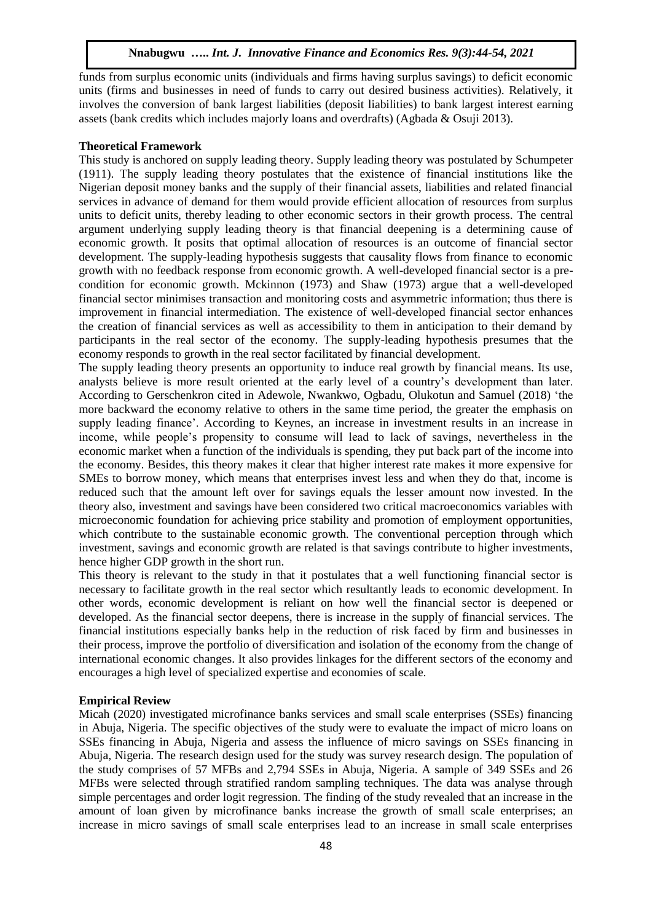funds from surplus economic units (individuals and firms having surplus savings) to deficit economic units (firms and businesses in need of funds to carry out desired business activities). Relatively, it involves the conversion of bank largest liabilities (deposit liabilities) to bank largest interest earning assets (bank credits which includes majorly loans and overdrafts) (Agbada & Osuji 2013).

#### **Theoretical Framework**

This study is anchored on supply leading theory. Supply leading theory was postulated by Schumpeter (1911). The supply leading theory postulates that the existence of financial institutions like the Nigerian deposit money banks and the supply of their financial assets, liabilities and related financial services in advance of demand for them would provide efficient allocation of resources from surplus units to deficit units, thereby leading to other economic sectors in their growth process. The central argument underlying supply leading theory is that financial deepening is a determining cause of economic growth. It posits that optimal allocation of resources is an outcome of financial sector development. The supply-leading hypothesis suggests that causality flows from finance to economic growth with no feedback response from economic growth. A well-developed financial sector is a precondition for economic growth. Mckinnon (1973) and Shaw (1973) argue that a well-developed financial sector minimises transaction and monitoring costs and asymmetric information; thus there is improvement in financial intermediation. The existence of well-developed financial sector enhances the creation of financial services as well as accessibility to them in anticipation to their demand by participants in the real sector of the economy. The supply-leading hypothesis presumes that the economy responds to growth in the real sector facilitated by financial development.

The supply leading theory presents an opportunity to induce real growth by financial means. Its use, analysts believe is more result oriented at the early level of a country's development than later. According to Gerschenkron cited in Adewole, Nwankwo, Ogbadu, Olukotun and Samuel (2018) 'the more backward the economy relative to others in the same time period, the greater the emphasis on supply leading finance'. According to Keynes, an increase in investment results in an increase in income, while people's propensity to consume will lead to lack of savings, nevertheless in the economic market when a function of the individuals is spending, they put back part of the income into the economy. Besides, this theory makes it clear that higher interest rate makes it more expensive for SMEs to borrow money, which means that enterprises invest less and when they do that, income is reduced such that the amount left over for savings equals the lesser amount now invested. In the theory also, investment and savings have been considered two critical macroeconomics variables with microeconomic foundation for achieving price stability and promotion of employment opportunities, which contribute to the sustainable economic growth. The conventional perception through which investment, savings and economic growth are related is that savings contribute to higher investments, hence higher GDP growth in the short run.

This theory is relevant to the study in that it postulates that a well functioning financial sector is necessary to facilitate growth in the real sector which resultantly leads to economic development. In other words, economic development is reliant on how well the financial sector is deepened or developed. As the financial sector deepens, there is increase in the supply of financial services. The financial institutions especially banks help in the reduction of risk faced by firm and businesses in their process, improve the portfolio of diversification and isolation of the economy from the change of international economic changes. It also provides linkages for the different sectors of the economy and encourages a high level of specialized expertise and economies of scale.

#### **Empirical Review**

Micah (2020) investigated microfinance banks services and small scale enterprises (SSEs) financing in Abuja, Nigeria. The specific objectives of the study were to evaluate the impact of micro loans on SSEs financing in Abuja, Nigeria and assess the influence of micro savings on SSEs financing in Abuja, Nigeria. The research design used for the study was survey research design. The population of the study comprises of 57 MFBs and 2,794 SSEs in Abuja, Nigeria. A sample of 349 SSEs and 26 MFBs were selected through stratified random sampling techniques. The data was analyse through simple percentages and order logit regression. The finding of the study revealed that an increase in the amount of loan given by microfinance banks increase the growth of small scale enterprises; an increase in micro savings of small scale enterprises lead to an increase in small scale enterprises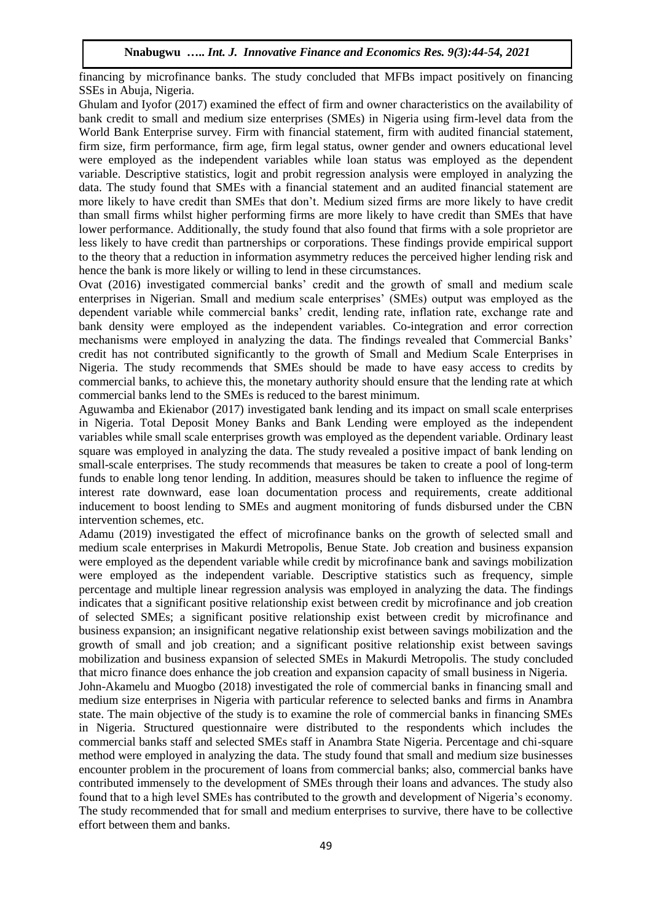financing by microfinance banks. The study concluded that MFBs impact positively on financing SSEs in Abuja, Nigeria.

Ghulam and Iyofor (2017) examined the effect of firm and owner characteristics on the availability of bank credit to small and medium size enterprises (SMEs) in Nigeria using firm-level data from the World Bank Enterprise survey. Firm with financial statement, firm with audited financial statement, firm size, firm performance, firm age, firm legal status, owner gender and owners educational level were employed as the independent variables while loan status was employed as the dependent variable. Descriptive statistics, logit and probit regression analysis were employed in analyzing the data. The study found that SMEs with a financial statement and an audited financial statement are more likely to have credit than SMEs that don't. Medium sized firms are more likely to have credit than small firms whilst higher performing firms are more likely to have credit than SMEs that have lower performance. Additionally, the study found that also found that firms with a sole proprietor are less likely to have credit than partnerships or corporations. These findings provide empirical support to the theory that a reduction in information asymmetry reduces the perceived higher lending risk and hence the bank is more likely or willing to lend in these circumstances.

Ovat (2016) investigated commercial banks' credit and the growth of small and medium scale enterprises in Nigerian. Small and medium scale enterprises' (SMEs) output was employed as the dependent variable while commercial banks' credit, lending rate, inflation rate, exchange rate and bank density were employed as the independent variables. Co-integration and error correction mechanisms were employed in analyzing the data. The findings revealed that Commercial Banks' credit has not contributed significantly to the growth of Small and Medium Scale Enterprises in Nigeria. The study recommends that SMEs should be made to have easy access to credits by commercial banks, to achieve this, the monetary authority should ensure that the lending rate at which commercial banks lend to the SMEs is reduced to the barest minimum.

Aguwamba and Ekienabor (2017) investigated bank lending and its impact on small scale enterprises in Nigeria. Total Deposit Money Banks and Bank Lending were employed as the independent variables while small scale enterprises growth was employed as the dependent variable. Ordinary least square was employed in analyzing the data. The study revealed a positive impact of bank lending on small-scale enterprises. The study recommends that measures be taken to create a pool of long-term funds to enable long tenor lending. In addition, measures should be taken to influence the regime of interest rate downward, ease loan documentation process and requirements, create additional inducement to boost lending to SMEs and augment monitoring of funds disbursed under the CBN intervention schemes, etc.

Adamu (2019) investigated the effect of microfinance banks on the growth of selected small and medium scale enterprises in Makurdi Metropolis, Benue State. Job creation and business expansion were employed as the dependent variable while credit by microfinance bank and savings mobilization were employed as the independent variable. Descriptive statistics such as frequency, simple percentage and multiple linear regression analysis was employed in analyzing the data. The findings indicates that a significant positive relationship exist between credit by microfinance and job creation of selected SMEs; a significant positive relationship exist between credit by microfinance and business expansion; an insignificant negative relationship exist between savings mobilization and the growth of small and job creation; and a significant positive relationship exist between savings mobilization and business expansion of selected SMEs in Makurdi Metropolis. The study concluded that micro finance does enhance the job creation and expansion capacity of small business in Nigeria.

John-Akamelu and Muogbo (2018) investigated the role of commercial banks in financing small and medium size enterprises in Nigeria with particular reference to selected banks and firms in Anambra state. The main objective of the study is to examine the role of commercial banks in financing SMEs in Nigeria. Structured questionnaire were distributed to the respondents which includes the commercial banks staff and selected SMEs staff in Anambra State Nigeria. Percentage and chi-square method were employed in analyzing the data. The study found that small and medium size businesses encounter problem in the procurement of loans from commercial banks; also, commercial banks have contributed immensely to the development of SMEs through their loans and advances. The study also found that to a high level SMEs has contributed to the growth and development of Nigeria's economy. The study recommended that for small and medium enterprises to survive, there have to be collective effort between them and banks.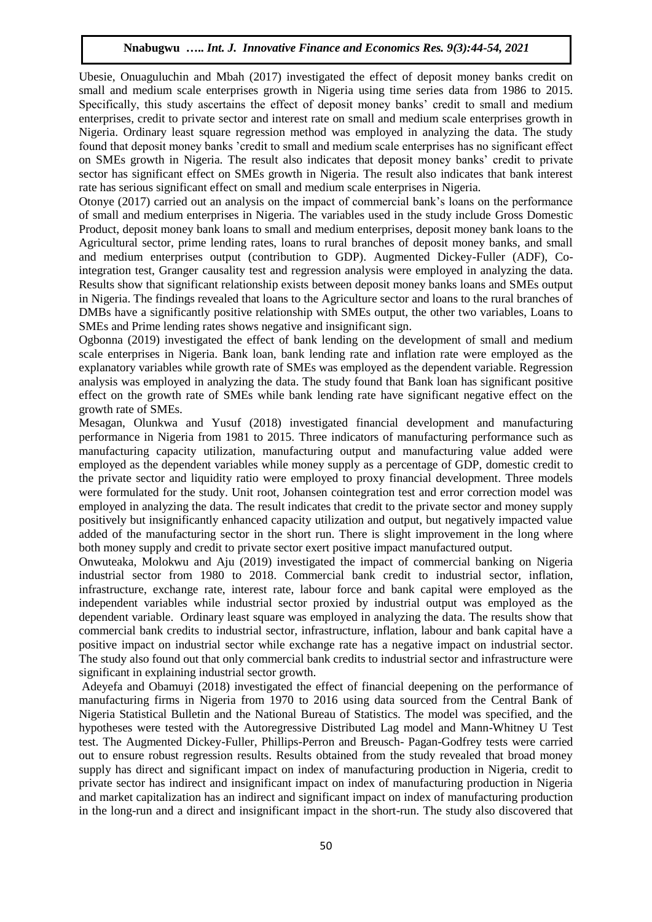Ubesie, Onuaguluchin and Mbah (2017) investigated the effect of deposit money banks credit on small and medium scale enterprises growth in Nigeria using time series data from 1986 to 2015. Specifically, this study ascertains the effect of deposit money banks' credit to small and medium enterprises, credit to private sector and interest rate on small and medium scale enterprises growth in Nigeria. Ordinary least square regression method was employed in analyzing the data. The study found that deposit money banks 'credit to small and medium scale enterprises has no significant effect on SMEs growth in Nigeria. The result also indicates that deposit money banks' credit to private sector has significant effect on SMEs growth in Nigeria. The result also indicates that bank interest rate has serious significant effect on small and medium scale enterprises in Nigeria.

Otonye (2017) carried out an analysis on the impact of commercial bank's loans on the performance of small and medium enterprises in Nigeria. The variables used in the study include Gross Domestic Product, deposit money bank loans to small and medium enterprises, deposit money bank loans to the Agricultural sector, prime lending rates, loans to rural branches of deposit money banks, and small and medium enterprises output (contribution to GDP). Augmented Dickey-Fuller (ADF), Cointegration test, Granger causality test and regression analysis were employed in analyzing the data. Results show that significant relationship exists between deposit money banks loans and SMEs output in Nigeria. The findings revealed that loans to the Agriculture sector and loans to the rural branches of DMBs have a significantly positive relationship with SMEs output, the other two variables, Loans to SMEs and Prime lending rates shows negative and insignificant sign.

Ogbonna (2019) investigated the effect of bank lending on the development of small and medium scale enterprises in Nigeria. Bank loan, bank lending rate and inflation rate were employed as the explanatory variables while growth rate of SMEs was employed as the dependent variable. Regression analysis was employed in analyzing the data. The study found that Bank loan has significant positive effect on the growth rate of SMEs while bank lending rate have significant negative effect on the growth rate of SMEs.

Mesagan, Olunkwa and Yusuf (2018) investigated financial development and manufacturing performance in Nigeria from 1981 to 2015. Three indicators of manufacturing performance such as manufacturing capacity utilization, manufacturing output and manufacturing value added were employed as the dependent variables while money supply as a percentage of GDP, domestic credit to the private sector and liquidity ratio were employed to proxy financial development. Three models were formulated for the study. Unit root, Johansen cointegration test and error correction model was employed in analyzing the data. The result indicates that credit to the private sector and money supply positively but insignificantly enhanced capacity utilization and output, but negatively impacted value added of the manufacturing sector in the short run. There is slight improvement in the long where both money supply and credit to private sector exert positive impact manufactured output.

Onwuteaka, Molokwu and Aju (2019) investigated the impact of commercial banking on Nigeria industrial sector from 1980 to 2018. Commercial bank credit to industrial sector, inflation, infrastructure, exchange rate, interest rate, labour force and bank capital were employed as the independent variables while industrial sector proxied by industrial output was employed as the dependent variable. Ordinary least square was employed in analyzing the data. The results show that commercial bank credits to industrial sector, infrastructure, inflation, labour and bank capital have a positive impact on industrial sector while exchange rate has a negative impact on industrial sector. The study also found out that only commercial bank credits to industrial sector and infrastructure were significant in explaining industrial sector growth.

Adeyefa and Obamuyi (2018) investigated the effect of financial deepening on the performance of manufacturing firms in Nigeria from 1970 to 2016 using data sourced from the Central Bank of Nigeria Statistical Bulletin and the National Bureau of Statistics. The model was specified, and the hypotheses were tested with the Autoregressive Distributed Lag model and Mann-Whitney U Test test. The Augmented Dickey-Fuller, Phillips-Perron and Breusch- Pagan-Godfrey tests were carried out to ensure robust regression results. Results obtained from the study revealed that broad money supply has direct and significant impact on index of manufacturing production in Nigeria, credit to private sector has indirect and insignificant impact on index of manufacturing production in Nigeria and market capitalization has an indirect and significant impact on index of manufacturing production in the long-run and a direct and insignificant impact in the short-run. The study also discovered that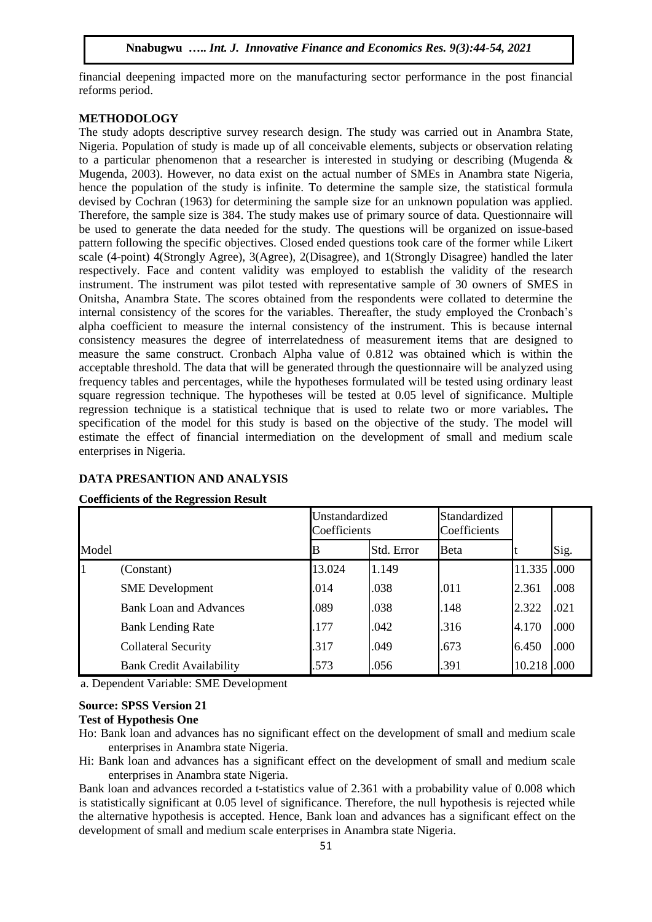financial deepening impacted more on the manufacturing sector performance in the post financial reforms period.

### **METHODOLOGY**

The study adopts descriptive survey research design. The study was carried out in Anambra State, Nigeria. Population of study is made up of all conceivable elements, subjects or observation relating to a particular phenomenon that a researcher is interested in studying or describing (Mugenda  $\&$ Mugenda, 2003). However, no data exist on the actual number of SMEs in Anambra state Nigeria, hence the population of the study is infinite. To determine the sample size, the statistical formula devised by Cochran (1963) for determining the sample size for an unknown population was applied. Therefore, the sample size is 384. The study makes use of primary source of data. Questionnaire will be used to generate the data needed for the study. The questions will be organized on issue-based pattern following the specific objectives. Closed ended questions took care of the former while Likert scale (4-point) 4(Strongly Agree), 3(Agree), 2(Disagree), and 1(Strongly Disagree) handled the later respectively. Face and content validity was employed to establish the validity of the research instrument. The instrument was pilot tested with representative sample of 30 owners of SMES in Onitsha, Anambra State. The scores obtained from the respondents were collated to determine the internal consistency of the scores for the variables. Thereafter, the study employed the Cronbach's alpha coefficient to measure the internal consistency of the instrument. This is because internal consistency measures the degree of interrelatedness of measurement items that are designed to measure the same construct. Cronbach Alpha value of 0.812 was obtained which is within the acceptable threshold. The data that will be generated through the questionnaire will be analyzed using frequency tables and percentages, while the hypotheses formulated will be tested using ordinary least square regression technique. The hypotheses will be tested at 0.05 level of significance. Multiple regression technique is a statistical technique that is used to relate two or more variables**.** The specification of the model for this study is based on the objective of the study. The model will estimate the effect of financial intermediation on the development of small and medium scale enterprises in Nigeria.

# **DATA PRESANTION AND ANALYSIS**

|       |                                 | Unstandardized<br>Coefficients |            | Standardized<br>Coefficients |             |      |
|-------|---------------------------------|--------------------------------|------------|------------------------------|-------------|------|
| Model |                                 |                                | Std. Error | Beta                         |             | Sig. |
|       | (Constant)                      | 13.024                         | 1.149      |                              | 11.335 .000 |      |
|       | <b>SME</b> Development          | .014                           | .038       | .011                         | 2.361       | .008 |
|       | <b>Bank Loan and Advances</b>   | .089                           | .038       | .148                         | 2.322       | .021 |
|       | <b>Bank Lending Rate</b>        | .177                           | .042       | .316                         | 4.170       | .000 |
|       | <b>Collateral Security</b>      | .317                           | .049       | .673                         | 6.450       | .000 |
|       | <b>Bank Credit Availability</b> | .573                           | .056       | .391                         | 10.218      | .000 |

#### **Coefficients of the Regression Result**

a. Dependent Variable: SME Development

# **Source: SPSS Version 21**

**Test of Hypothesis One** 

Hi: Bank loan and advances has a significant effect on the development of small and medium scale enterprises in Anambra state Nigeria.

Bank loan and advances recorded a t-statistics value of 2.361 with a probability value of 0.008 which is statistically significant at 0.05 level of significance. Therefore, the null hypothesis is rejected while the alternative hypothesis is accepted. Hence, Bank loan and advances has a significant effect on the development of small and medium scale enterprises in Anambra state Nigeria.

Ho: Bank loan and advances has no significant effect on the development of small and medium scale enterprises in Anambra state Nigeria.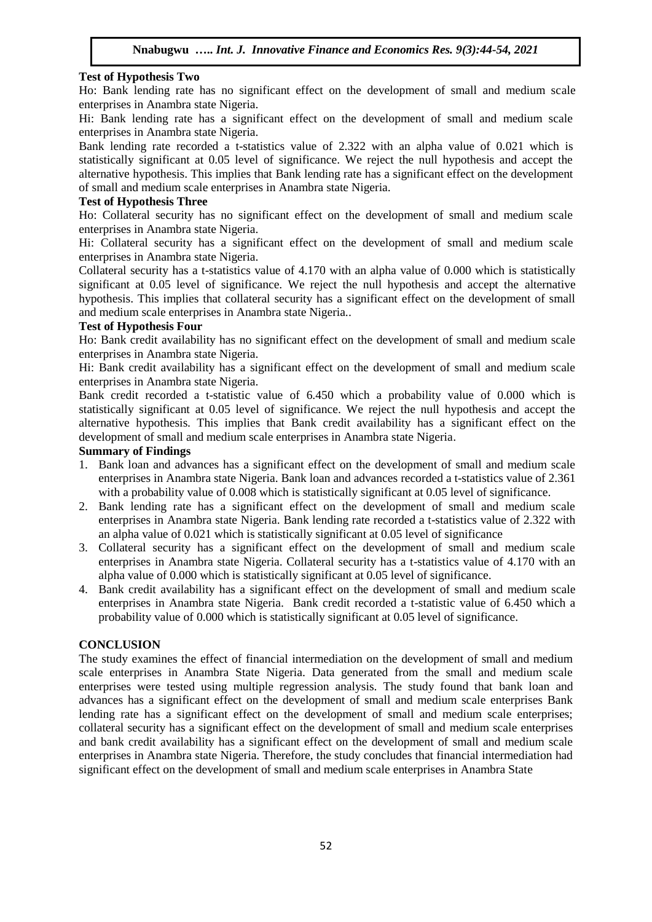# **Test of Hypothesis Two**

Ho: Bank lending rate has no significant effect on the development of small and medium scale enterprises in Anambra state Nigeria.

Hi: Bank lending rate has a significant effect on the development of small and medium scale enterprises in Anambra state Nigeria.

Bank lending rate recorded a t-statistics value of 2.322 with an alpha value of 0.021 which is statistically significant at 0.05 level of significance. We reject the null hypothesis and accept the alternative hypothesis. This implies that Bank lending rate has a significant effect on the development of small and medium scale enterprises in Anambra state Nigeria.

### **Test of Hypothesis Three**

Ho: Collateral security has no significant effect on the development of small and medium scale enterprises in Anambra state Nigeria.

Hi: Collateral security has a significant effect on the development of small and medium scale enterprises in Anambra state Nigeria.

Collateral security has a t-statistics value of 4.170 with an alpha value of 0.000 which is statistically significant at 0.05 level of significance. We reject the null hypothesis and accept the alternative hypothesis. This implies that collateral security has a significant effect on the development of small and medium scale enterprises in Anambra state Nigeria..

## **Test of Hypothesis Four**

Ho: Bank credit availability has no significant effect on the development of small and medium scale enterprises in Anambra state Nigeria.

Hi: Bank credit availability has a significant effect on the development of small and medium scale enterprises in Anambra state Nigeria.

Bank credit recorded a t-statistic value of 6.450 which a probability value of 0.000 which is statistically significant at 0.05 level of significance. We reject the null hypothesis and accept the alternative hypothesis. This implies that Bank credit availability has a significant effect on the development of small and medium scale enterprises in Anambra state Nigeria.

## **Summary of Findings**

- 1. Bank loan and advances has a significant effect on the development of small and medium scale enterprises in Anambra state Nigeria. Bank loan and advances recorded a t-statistics value of 2.361 with a probability value of 0.008 which is statistically significant at 0.05 level of significance.
- 2. Bank lending rate has a significant effect on the development of small and medium scale enterprises in Anambra state Nigeria. Bank lending rate recorded a t-statistics value of 2.322 with an alpha value of 0.021 which is statistically significant at 0.05 level of significance
- 3. Collateral security has a significant effect on the development of small and medium scale enterprises in Anambra state Nigeria. Collateral security has a t-statistics value of 4.170 with an alpha value of 0.000 which is statistically significant at 0.05 level of significance.
- 4. Bank credit availability has a significant effect on the development of small and medium scale enterprises in Anambra state Nigeria. Bank credit recorded a t-statistic value of 6.450 which a probability value of 0.000 which is statistically significant at 0.05 level of significance.

## **CONCLUSION**

The study examines the effect of financial intermediation on the development of small and medium scale enterprises in Anambra State Nigeria. Data generated from the small and medium scale enterprises were tested using multiple regression analysis. The study found that bank loan and advances has a significant effect on the development of small and medium scale enterprises Bank lending rate has a significant effect on the development of small and medium scale enterprises; collateral security has a significant effect on the development of small and medium scale enterprises and bank credit availability has a significant effect on the development of small and medium scale enterprises in Anambra state Nigeria. Therefore, the study concludes that financial intermediation had significant effect on the development of small and medium scale enterprises in Anambra State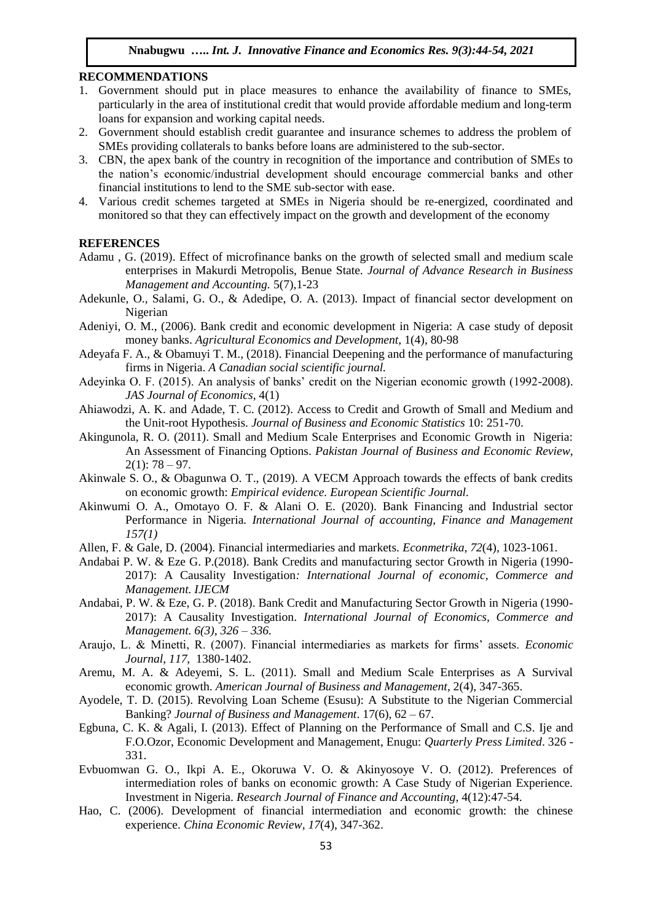### **RECOMMENDATIONS**

- 1. Government should put in place measures to enhance the availability of finance to SMEs, particularly in the area of institutional credit that would provide affordable medium and long-term loans for expansion and working capital needs.
- 2. Government should establish credit guarantee and insurance schemes to address the problem of SMEs providing collaterals to banks before loans are administered to the sub-sector.
- 3. CBN, the apex bank of the country in recognition of the importance and contribution of SMEs to the nation's economic/industrial development should encourage commercial banks and other financial institutions to lend to the SME sub-sector with ease.
- 4. Various credit schemes targeted at SMEs in Nigeria should be re-energized, coordinated and monitored so that they can effectively impact on the growth and development of the economy

#### **REFERENCES**

- Adamu , G. (2019). Effect of microfinance banks on the growth of selected small and medium scale enterprises in Makurdi Metropolis, Benue State. *Journal of Advance Research in Business Management and Accounting.* 5(7),1-23
- Adekunle, O., Salami, G. O., & Adedipe, O. A. (2013). Impact of financial sector development on Nigerian
- Adeniyi, O. M., (2006). Bank credit and economic development in Nigeria: A case study of deposit money banks. *Agricultural Economics and Development,* 1(4), 80-98
- Adeyafa F. A., & Obamuyi T. M., (2018). Financial Deepening and the performance of manufacturing firms in Nigeria. *A Canadian social scientific journal.*
- Adeyinka O. F. (2015). An analysis of banks' credit on the Nigerian economic growth (1992-2008). *JAS Journal of Economics*, 4(1)
- Ahiawodzi, A. K. and Adade, T. C. (2012). Access to Credit and Growth of Small and Medium and the Unit-root Hypothesis. *Journal of Business and Economic Statistics* 10: 251-70.
- Akingunola, R. O. (2011). Small and Medium Scale Enterprises and Economic Growth in Nigeria: An Assessment of Financing Options. *Pakistan Journal of Business and Economic Review*,  $2(1): 78 - 97.$
- Akinwale S. O., & Obagunwa O. T., (2019). A VECM Approach towards the effects of bank credits on economic growth: *Empirical evidence. European Scientific Journal.*
- Akinwumi O. A., Omotayo O. F. & Alani O. E. (2020). Bank Financing and Industrial sector Performance in Nigeria*. International Journal of accounting, Finance and Management 157(1)*
- Allen, F. & Gale, D. (2004). Financial intermediaries and markets. *Econmetrika*, *72*(4), 1023-1061.
- Andabai P. W. & Eze G. P.(2018). Bank Credits and manufacturing sector Growth in Nigeria (1990- 2017): A Causality Investigation*: International Journal of economic, Commerce and Management. IJECM*
- Andabai, P. W. & Eze, G. P. (2018). Bank Credit and Manufacturing Sector Growth in Nigeria (1990- 2017): A Causality Investigation. *International Journal of Economics, Commerce and Management. 6(3), 326 – 336.*
- Araujo, L. & Minetti, R. (2007). Financial intermediaries as markets for firms' assets. *Economic Journal*, *117*, 1380-1402.
- Aremu, M. A. & Adeyemi, S. L. (2011). Small and Medium Scale Enterprises as A Survival economic growth. *American Journal of Business and Management*, 2(4), 347-365.
- Ayodele, T. D. (2015). Revolving Loan Scheme (Esusu): A Substitute to the Nigerian Commercial Banking? *Journal of Business and Management*. 17(6), 62 – 67.
- Egbuna, C. K. & Agali, I. (2013). Effect of Planning on the Performance of Small and C.S. Ije and F.O.Ozor, Economic Development and Management, Enugu: *Quarterly Press Limited*. 326 - 331.
- Evbuomwan G. O., Ikpi A. E., Okoruwa V. O. & Akinyosoye V. O. (2012). Preferences of intermediation roles of banks on economic growth: A Case Study of Nigerian Experience. Investment in Nigeria. *Research Journal of Finance and Accounting*, 4(12):47-54.
- Hao, C. (2006). Development of financial intermediation and economic growth: the chinese experience. *China Economic Review*, *17*(4), 347-362.